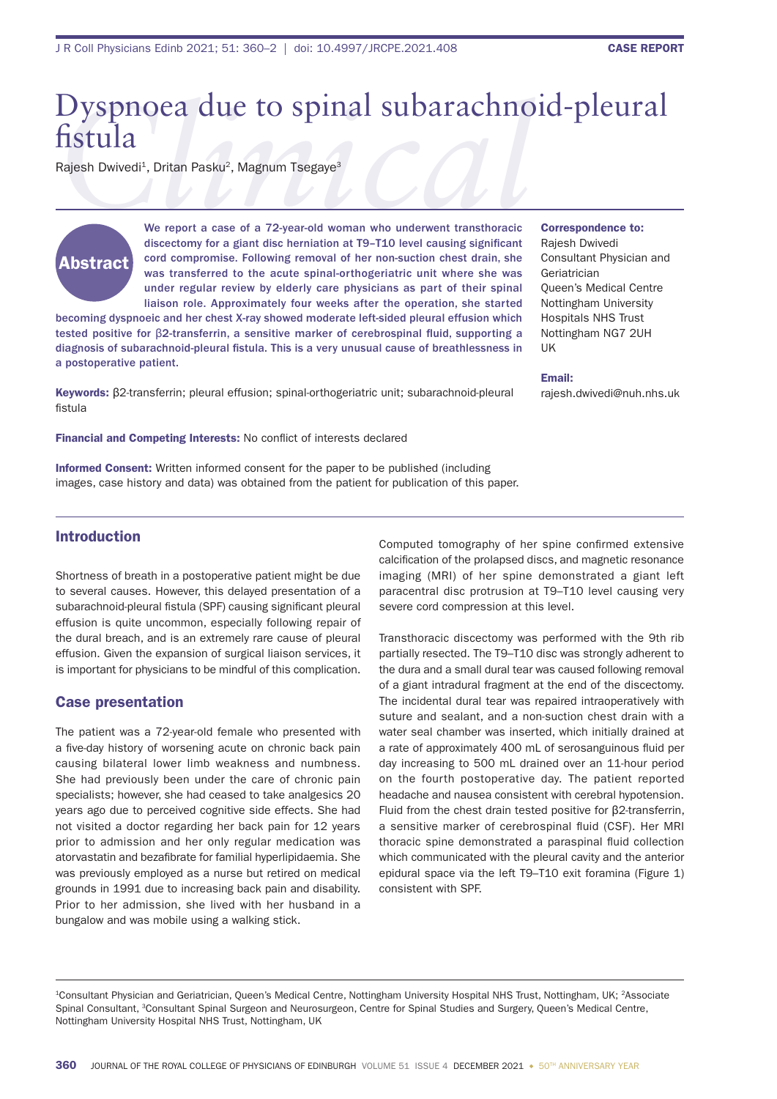# Dyspnoea due to spinal subarachnoid-pleural fistula

Rajesh Dwivedi<sup>1</sup>, Dritan Pasku<sup>2</sup>, Magnum Tsegaye<sup>3</sup>



We report a case of a 72-year-old woman who underwent transthoracic discectomy for a giant disc herniation at T9-T10 level causing significant cord compromise. Following removal of her non-suction chest drain, she was transferred to the acute spinal-orthogeriatric unit where she was under regular review by elderly care physicians as part of their spinal liaison role. Approximately four weeks after the operation, she started

becoming dyspnoeic and her chest X-ray showed moderate left-sided pleural effusion which tested positive for β2-transferrin, a sensitive marker of cerebrospinal fluid, supporting a diagnosis of subarachnoid-pleural fistula. This is a very unusual cause of breathlessness in a postoperative patient.

Correspondence to:

Rajesh Dwivedi Consultant Physician and Geriatrician Queen's Medical Centre Nottingham University Hospitals NHS Trust Nottingham NG7 2UH UK

#### Email:

rajesh.dwivedi@nuh.nhs.uk

Keywords: β2-transferrin; pleural effusion; spinal-orthogeriatric unit; subarachnoid-pleural fistula

Financial and Competing Interests: No conflict of interests declared

Informed Consent: Written informed consent for the paper to be published (including images, case history and data) was obtained from the patient for publication of this paper.

## Introduction

Shortness of breath in a postoperative patient might be due to several causes. However, this delayed presentation of a subarachnoid-pleural fistula (SPF) causing significant pleural effusion is quite uncommon, especially following repair of the dural breach, and is an extremely rare cause of pleural effusion. Given the expansion of surgical liaison services, it is important for physicians to be mindful of this complication.

### Case presentation

The patient was a 72-year-old female who presented with a five-day history of worsening acute on chronic back pain causing bilateral lower limb weakness and numbness. She had previously been under the care of chronic pain specialists; however, she had ceased to take analgesics 20 years ago due to perceived cognitive side effects. She had not visited a doctor regarding her back pain for 12 years prior to admission and her only regular medication was atorvastatin and bezafibrate for familial hyperlipidaemia. She was previously employed as a nurse but retired on medical grounds in 1991 due to increasing back pain and disability. Prior to her admission, she lived with her husband in a bungalow and was mobile using a walking stick.

Computed tomography of her spine confirmed extensive calcification of the prolapsed discs, and magnetic resonance imaging (MRI) of her spine demonstrated a giant left paracentral disc protrusion at T9–T10 level causing very severe cord compression at this level.

Transthoracic discectomy was performed with the 9th rib partially resected. The T9–T10 disc was strongly adherent to the dura and a small dural tear was caused following removal of a giant intradural fragment at the end of the discectomy. The incidental dural tear was repaired intraoperatively with suture and sealant, and a non-suction chest drain with a water seal chamber was inserted, which initially drained at a rate of approximately 400 mL of serosanguinous fluid per day increasing to 500 mL drained over an 11-hour period on the fourth postoperative day. The patient reported headache and nausea consistent with cerebral hypotension. Fluid from the chest drain tested positive for β2-transferrin, a sensitive marker of cerebrospinal fluid (CSF). Her MRI thoracic spine demonstrated a paraspinal fluid collection which communicated with the pleural cavity and the anterior epidural space via the left T9–T10 exit foramina (Figure 1) consistent with SPF.

1Consultant Physician and Geriatrician, Queen's Medical Centre, Nottingham University Hospital NHS Trust, Nottingham, UK; 2Associate Spinal Consultant, 3Consultant Spinal Surgeon and Neurosurgeon, Centre for Spinal Studies and Surgery, Queen's Medical Centre, Nottingham University Hospital NHS Trust, Nottingham, UK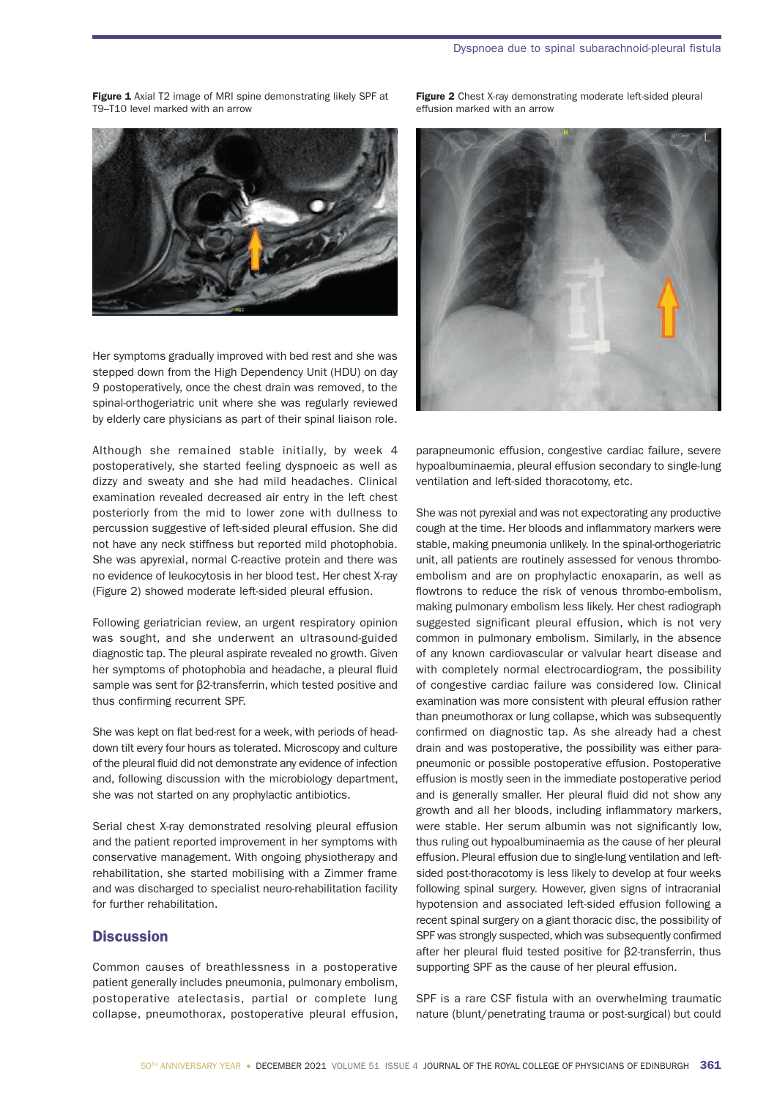Figure 1 Axial T2 image of MRI spine demonstrating likely SPF at T9–T10 level marked with an arrow

Her symptoms gradually improved with bed rest and she was stepped down from the High Dependency Unit (HDU) on day 9 postoperatively, once the chest drain was removed, to the spinal-orthogeriatric unit where she was regularly reviewed by elderly care physicians as part of their spinal liaison role.

Although she remained stable initially, by week 4 postoperatively, she started feeling dyspnoeic as well as dizzy and sweaty and she had mild headaches. Clinical examination revealed decreased air entry in the left chest posteriorly from the mid to lower zone with dullness to percussion suggestive of left-sided pleural effusion. She did not have any neck stiffness but reported mild photophobia. She was apyrexial, normal C-reactive protein and there was no evidence of leukocytosis in her blood test. Her chest X-ray (Figure 2) showed moderate left-sided pleural effusion.

Following geriatrician review, an urgent respiratory opinion was sought, and she underwent an ultrasound-guided diagnostic tap. The pleural aspirate revealed no growth. Given her symptoms of photophobia and headache, a pleural fluid sample was sent for β2-transferrin, which tested positive and thus confirming recurrent SPF.

She was kept on flat bed-rest for a week, with periods of headdown tilt every four hours as tolerated. Microscopy and culture of the pleural fluid did not demonstrate any evidence of infection and, following discussion with the microbiology department, she was not started on any prophylactic antibiotics.

Serial chest X-ray demonstrated resolving pleural effusion and the patient reported improvement in her symptoms with conservative management. With ongoing physiotherapy and rehabilitation, she started mobilising with a Zimmer frame and was discharged to specialist neuro-rehabilitation facility for further rehabilitation.

## **Discussion**

Common causes of breathlessness in a postoperative patient generally includes pneumonia, pulmonary embolism, postoperative atelectasis, partial or complete lung collapse, pneumothorax, postoperative pleural effusion,

Figure 2 Chest X-ray demonstrating moderate left-sided pleural effusion marked with an arrow



parapneumonic effusion, congestive cardiac failure, severe hypoalbuminaemia, pleural effusion secondary to single-lung ventilation and left-sided thoracotomy, etc.

She was not pyrexial and was not expectorating any productive cough at the time. Her bloods and inflammatory markers were stable, making pneumonia unlikely. In the spinal-orthogeriatric unit, all patients are routinely assessed for venous thromboembolism and are on prophylactic enoxaparin, as well as flowtrons to reduce the risk of venous thrombo-embolism, making pulmonary embolism less likely. Her chest radiograph suggested significant pleural effusion, which is not very common in pulmonary embolism. Similarly, in the absence of any known cardiovascular or valvular heart disease and with completely normal electrocardiogram, the possibility of congestive cardiac failure was considered low. Clinical examination was more consistent with pleural effusion rather than pneumothorax or lung collapse, which was subsequently confirmed on diagnostic tap. As she already had a chest drain and was postoperative, the possibility was either parapneumonic or possible postoperative effusion. Postoperative effusion is mostly seen in the immediate postoperative period and is generally smaller. Her pleural fluid did not show any growth and all her bloods, including inflammatory markers, were stable. Her serum albumin was not significantly low, thus ruling out hypoalbuminaemia as the cause of her pleural effusion. Pleural effusion due to single-lung ventilation and leftsided post-thoracotomy is less likely to develop at four weeks following spinal surgery. However, given signs of intracranial hypotension and associated left-sided effusion following a recent spinal surgery on a giant thoracic disc, the possibility of SPF was strongly suspected, which was subsequently confirmed after her pleural fluid tested positive for β2-transferrin, thus supporting SPF as the cause of her pleural effusion.

SPF is a rare CSF fistula with an overwhelming traumatic nature (blunt/penetrating trauma or post-surgical) but could